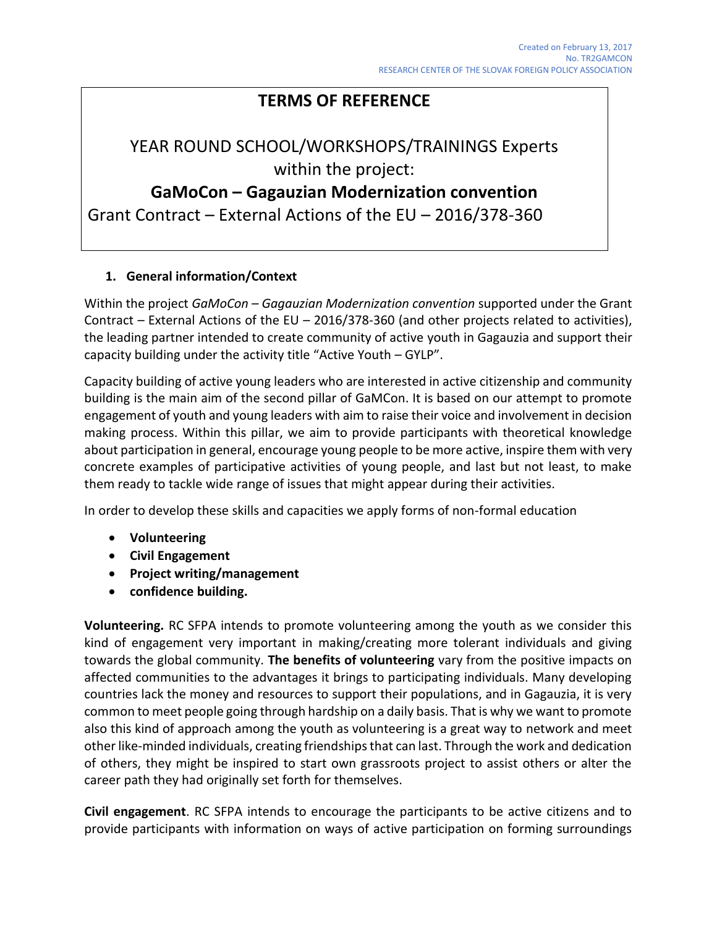## **TERMS OF REFERENCE**

# YEAR ROUND SCHOOL/WORKSHOPS/TRAININGS Experts within the project:

## **GaMoCon – Gagauzian Modernization convention**

Grant Contract – External Actions of the EU – 2016/378-360

## **1. General information/Context**

Within the project *GaMoCon – Gagauzian Modernization convention* supported under the Grant Contract – External Actions of the EU – 2016/378-360 (and other projects related to activities), the leading partner intended to create community of active youth in Gagauzia and support their capacity building under the activity title "Active Youth – GYLP".

Capacity building of active young leaders who are interested in active citizenship and community building is the main aim of the second pillar of GaMCon. It is based on our attempt to promote engagement of youth and young leaders with aim to raise their voice and involvement in decision making process. Within this pillar, we aim to provide participants with theoretical knowledge about participation in general, encourage young people to be more active, inspire them with very concrete examples of participative activities of young people, and last but not least, to make them ready to tackle wide range of issues that might appear during their activities.

In order to develop these skills and capacities we apply forms of non-formal education

- **Volunteering**
- **Civil Engagement**
- **Project writing/management**
- **confidence building.**

**Volunteering.** RC SFPA intends to promote volunteering among the youth as we consider this kind of engagement very important in making/creating more tolerant individuals and giving towards the global community. **The benefits of volunteering** vary from the positive impacts on affected communities to the advantages it brings to participating individuals. Many developing countries lack the money and resources to support their populations, and in Gagauzia, it is very common to meet people going through hardship on a daily basis. That is why we want to promote also this kind of approach among the youth as volunteering is a great way to network and meet other like-minded individuals, creating friendships that can last. Through the work and dedication of others, they might be inspired to start own grassroots project to assist others or alter the career path they had originally set forth for themselves.

**Civil engagement**. RC SFPA intends to encourage the participants to be active citizens and to provide participants with information on ways of active participation on forming surroundings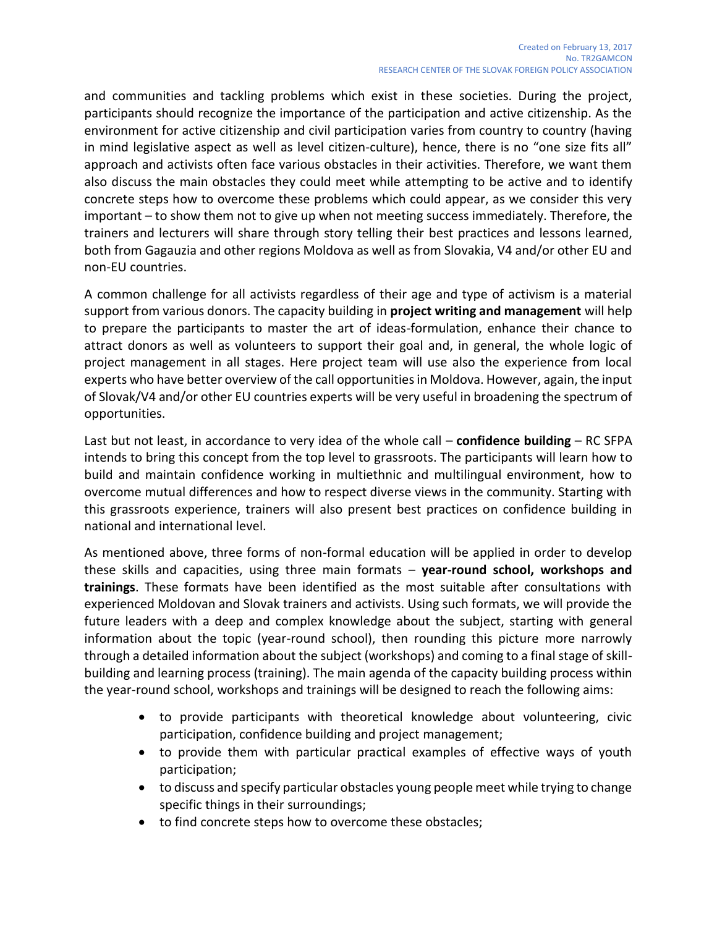and communities and tackling problems which exist in these societies. During the project, participants should recognize the importance of the participation and active citizenship. As the environment for active citizenship and civil participation varies from country to country (having in mind legislative aspect as well as level citizen-culture), hence, there is no "one size fits all" approach and activists often face various obstacles in their activities. Therefore, we want them also discuss the main obstacles they could meet while attempting to be active and to identify concrete steps how to overcome these problems which could appear, as we consider this very important – to show them not to give up when not meeting success immediately. Therefore, the trainers and lecturers will share through story telling their best practices and lessons learned, both from Gagauzia and other regions Moldova as well as from Slovakia, V4 and/or other EU and non-EU countries.

A common challenge for all activists regardless of their age and type of activism is a material support from various donors. The capacity building in **project writing and management** will help to prepare the participants to master the art of ideas-formulation, enhance their chance to attract donors as well as volunteers to support their goal and, in general, the whole logic of project management in all stages. Here project team will use also the experience from local experts who have better overview of the call opportunities in Moldova. However, again, the input of Slovak/V4 and/or other EU countries experts will be very useful in broadening the spectrum of opportunities.

Last but not least, in accordance to very idea of the whole call – **confidence building** – RC SFPA intends to bring this concept from the top level to grassroots. The participants will learn how to build and maintain confidence working in multiethnic and multilingual environment, how to overcome mutual differences and how to respect diverse views in the community. Starting with this grassroots experience, trainers will also present best practices on confidence building in national and international level.

As mentioned above, three forms of non-formal education will be applied in order to develop these skills and capacities, using three main formats – **year-round school, workshops and trainings**. These formats have been identified as the most suitable after consultations with experienced Moldovan and Slovak trainers and activists. Using such formats, we will provide the future leaders with a deep and complex knowledge about the subject, starting with general information about the topic (year-round school), then rounding this picture more narrowly through a detailed information about the subject (workshops) and coming to a final stage of skillbuilding and learning process (training). The main agenda of the capacity building process within the year-round school, workshops and trainings will be designed to reach the following aims:

- to provide participants with theoretical knowledge about volunteering, civic participation, confidence building and project management;
- to provide them with particular practical examples of effective ways of youth participation;
- to discuss and specify particular obstacles young people meet while trying to change specific things in their surroundings;
- to find concrete steps how to overcome these obstacles;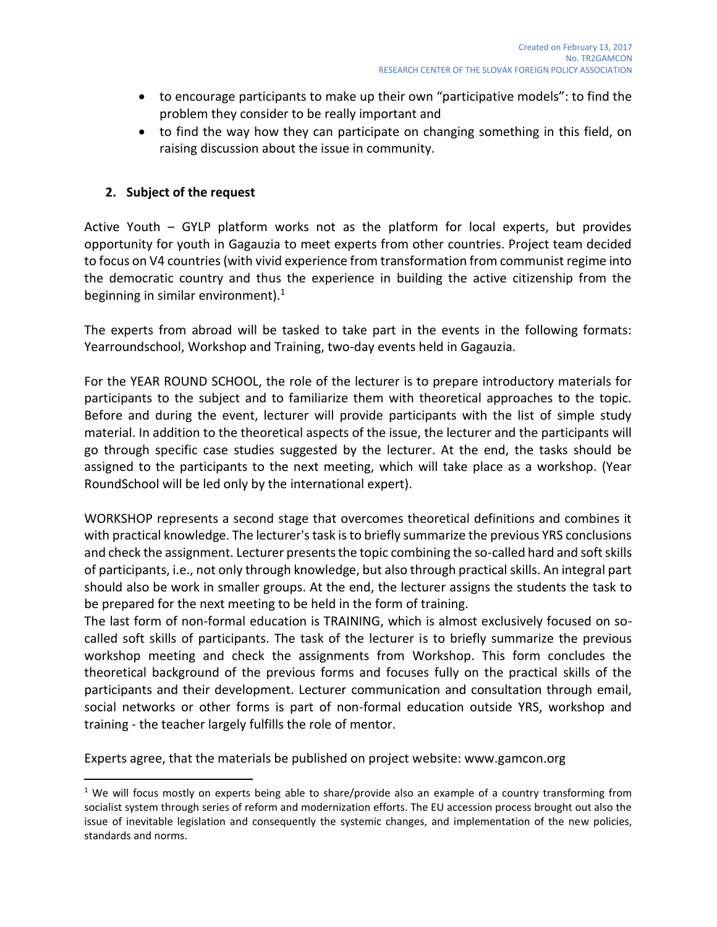- to encourage participants to make up their own "participative models": to find the problem they consider to be really important and
- to find the way how they can participate on changing something in this field, on raising discussion about the issue in community.

### **2. Subject of the request**

 $\overline{a}$ 

Active Youth – GYLP platform works not as the platform for local experts, but provides opportunity for youth in Gagauzia to meet experts from other countries. Project team decided to focus on V4 countries (with vivid experience from transformation from communist regime into the democratic country and thus the experience in building the active citizenship from the beginning in similar environment). $1$ 

The experts from abroad will be tasked to take part in the events in the following formats: Yearroundschool, Workshop and Training, two-day events held in Gagauzia.

For the YEAR ROUND SCHOOL, the role of the lecturer is to prepare introductory materials for participants to the subject and to familiarize them with theoretical approaches to the topic. Before and during the event, lecturer will provide participants with the list of simple study material. In addition to the theoretical aspects of the issue, the lecturer and the participants will go through specific case studies suggested by the lecturer. At the end, the tasks should be assigned to the participants to the next meeting, which will take place as a workshop. (Year RoundSchool will be led only by the international expert).

WORKSHOP represents a second stage that overcomes theoretical definitions and combines it with practical knowledge. The lecturer's task is to briefly summarize the previous YRS conclusions and check the assignment. Lecturer presents the topic combining the so-called hard and soft skills of participants, i.e., not only through knowledge, but also through practical skills. An integral part should also be work in smaller groups. At the end, the lecturer assigns the students the task to be prepared for the next meeting to be held in the form of training.

The last form of non-formal education is TRAINING, which is almost exclusively focused on socalled soft skills of participants. The task of the lecturer is to briefly summarize the previous workshop meeting and check the assignments from Workshop. This form concludes the theoretical background of the previous forms and focuses fully on the practical skills of the participants and their development. Lecturer communication and consultation through email, social networks or other forms is part of non-formal education outside YRS, workshop and training - the teacher largely fulfills the role of mentor.

Experts agree, that the materials be published on project website: www.gamcon.org

<sup>&</sup>lt;sup>1</sup> We will focus mostly on experts being able to share/provide also an example of a country transforming from socialist system through series of reform and modernization efforts. The EU accession process brought out also the issue of inevitable legislation and consequently the systemic changes, and implementation of the new policies, standards and norms.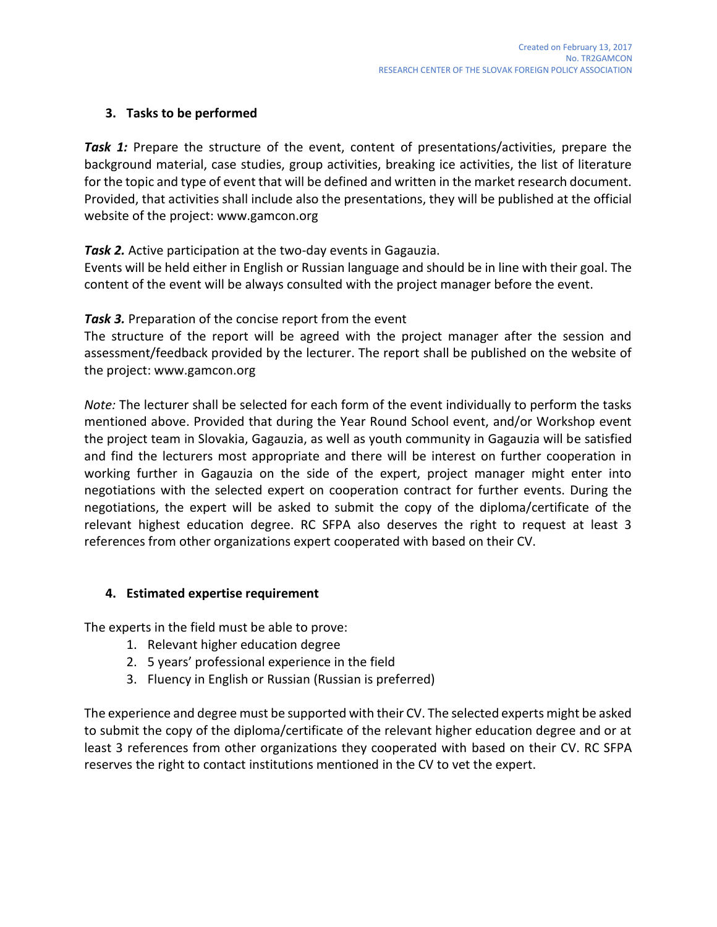## **3. Tasks to be performed**

**Task 1:** Prepare the structure of the event, content of presentations/activities, prepare the background material, case studies, group activities, breaking ice activities, the list of literature for the topic and type of event that will be defined and written in the market research document. Provided, that activities shall include also the presentations, they will be published at the official website of the project: www.gamcon.org

*Task 2.* Active participation at the two-day events in Gagauzia.

Events will be held either in English or Russian language and should be in line with their goal. The content of the event will be always consulted with the project manager before the event.

*Task 3.* Preparation of the concise report from the event

The structure of the report will be agreed with the project manager after the session and assessment/feedback provided by the lecturer. The report shall be published on the website of the project: www.gamcon.org

*Note:* The lecturer shall be selected for each form of the event individually to perform the tasks mentioned above. Provided that during the Year Round School event, and/or Workshop event the project team in Slovakia, Gagauzia, as well as youth community in Gagauzia will be satisfied and find the lecturers most appropriate and there will be interest on further cooperation in working further in Gagauzia on the side of the expert, project manager might enter into negotiations with the selected expert on cooperation contract for further events. During the negotiations, the expert will be asked to submit the copy of the diploma/certificate of the relevant highest education degree. RC SFPA also deserves the right to request at least 3 references from other organizations expert cooperated with based on their CV.

## **4. Estimated expertise requirement**

The experts in the field must be able to prove:

- 1. Relevant higher education degree
- 2. 5 years' professional experience in the field
- 3. Fluency in English or Russian (Russian is preferred)

The experience and degree must be supported with their CV. The selected experts might be asked to submit the copy of the diploma/certificate of the relevant higher education degree and or at least 3 references from other organizations they cooperated with based on their CV. RC SFPA reserves the right to contact institutions mentioned in the CV to vet the expert.